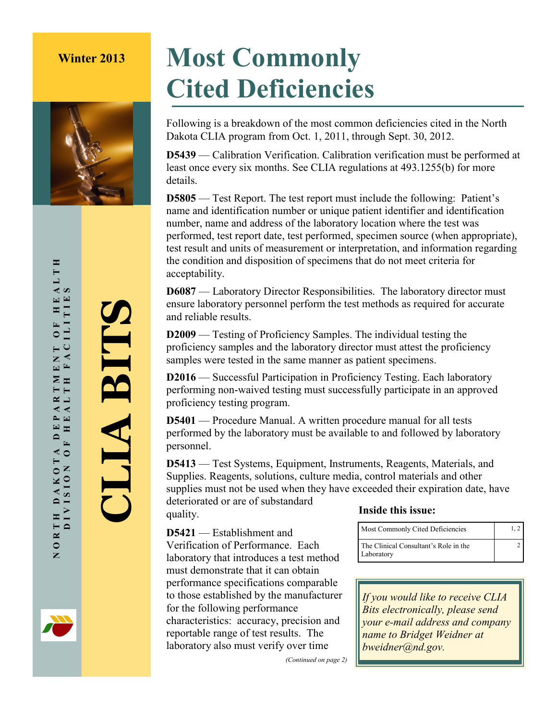

## **Winter 2013 Most Commonly Cited Deficiencies**

Following is a breakdown of the most common deficiencies cited in the North Dakota CLIA program from Oct. 1, 2011, through Sept. 30, 2012.

**D5439** — Calibration Verification. Calibration verification must be performed at least once every six months. See CLIA regulations at 493.1255(b) for more details.

**D5805** — Test Report. The test report must include the following: Patient's name and identification number or unique patient identifier and identification number, name and address of the laboratory location where the test was performed, test report date, test performed, specimen source (when appropriate), test result and units of measurement or interpretation, and information regarding the condition and disposition of specimens that do not meet criteria for acceptability.

**D6087** — Laboratory Director Responsibilities. The laboratory director must ensure laboratory personnel perform the test methods as required for accurate and reliable results.

**D2009** — Testing of Proficiency Samples. The individual testing the proficiency samples and the laboratory director must attest the proficiency samples were tested in the same manner as patient specimens.

**D2016** — Successful Participation in Proficiency Testing. Each laboratory performing non-waived testing must successfully participate in an approved proficiency testing program.

**D5401** — Procedure Manual. A written procedure manual for all tests performed by the laboratory must be available to and followed by laboratory personnel.

**D5413** — Test Systems, Equipment, Instruments, Reagents, Materials, and Supplies. Reagents, solutions, culture media, control materials and other supplies must not be used when they have exceeded their expiration date, have

deteriorated or are of substandard quality.

**D5421** — Establishment and Verification of Performance. Each laboratory that introduces a test method must demonstrate that it can obtain performance specifications comparable to those established by the manufacturer for the following performance characteristics: accuracy, precision and reportable range of test results. The laboratory also must verify over time

## **Inside this issue:**

| Most Commonly Cited Deficiencies                    | 1. 2 |
|-----------------------------------------------------|------|
| The Clinical Consultant's Role in the<br>Laboratory |      |

*If you would like to receive CLIA Bits electronically, please send your e-mail address and company name to Bridget Weidner at bweidner@nd.gov.*

*(Continued on page 2)*

**CLIA BITS**